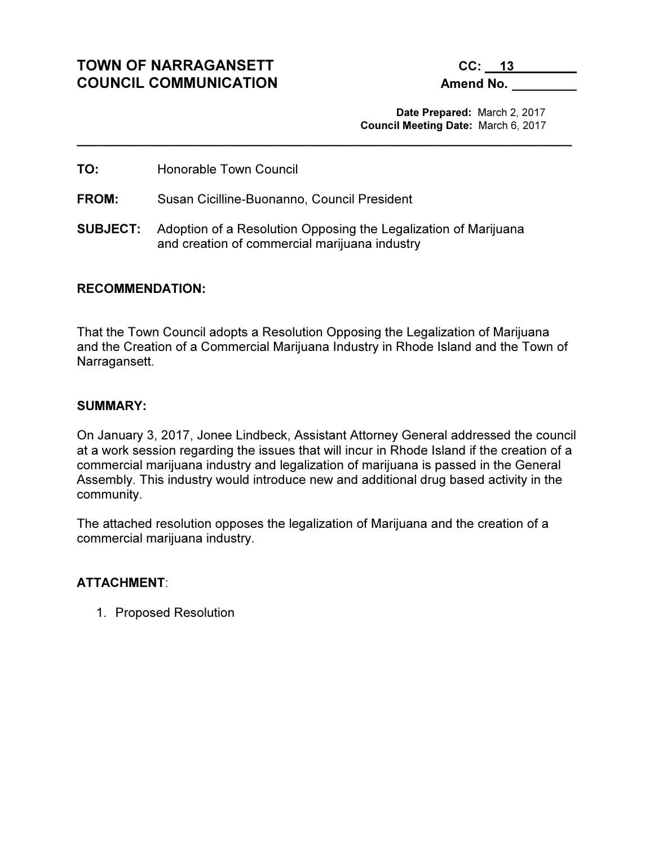# TOWN OF NARRAGANSETT CC: 13 COUNCIL COMMUNICATION Amend No.

 Date Prepared: March 2, 2017 Council Meeting Date: March 6, 2017

TO: Honorable Town Council

FROM: Susan Cicilline-Buonanno, Council President

SUBJECT: Adoption of a Resolution Opposing the Legalization of Marijuana and creation of commercial marijuana industry

\_\_\_\_\_\_\_\_\_\_\_\_\_\_\_\_\_\_\_\_\_\_\_\_\_\_\_\_\_\_\_\_\_\_\_\_\_\_\_\_\_\_\_\_\_\_\_\_\_\_\_\_\_\_\_\_\_\_\_\_\_\_\_\_\_\_\_\_\_

#### RECOMMENDATION:

That the Town Council adopts a Resolution Opposing the Legalization of Marijuana and the Creation of a Commercial Marijuana Industry in Rhode Island and the Town of Narragansett.

#### SUMMARY:

On January 3, 2017, Jonee Lindbeck, Assistant Attorney General addressed the council at a work session regarding the issues that will incur in Rhode Island if the creation of a commercial marijuana industry and legalization of marijuana is passed in the General Assembly. This industry would introduce new and additional drug based activity in the community.

The attached resolution opposes the legalization of Marijuana and the creation of a commercial marijuana industry.

### ATTACHMENT:

1. Proposed Resolution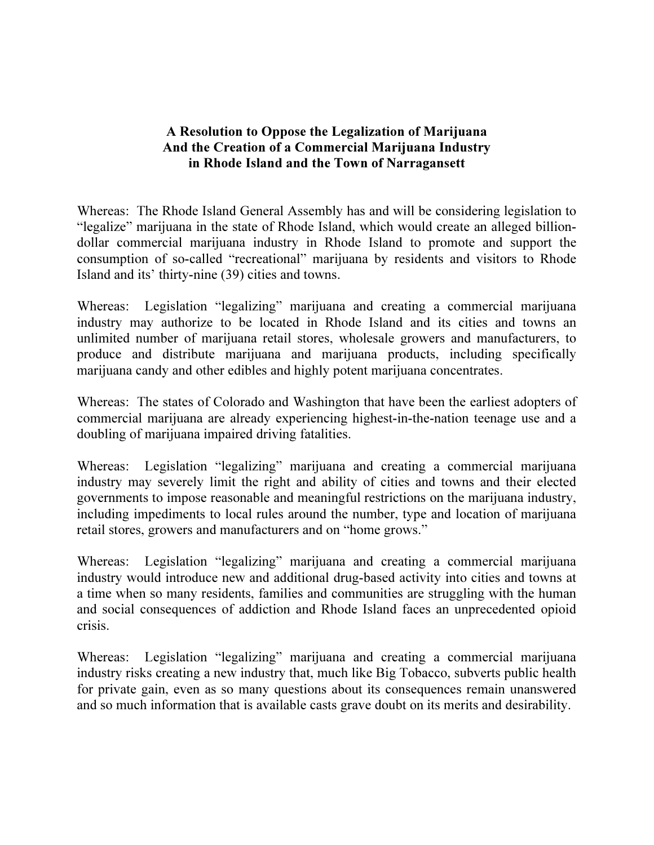# A Resolution to Oppose the Legalization of Marijuana And the Creation of a Commercial Marijuana Industry in Rhode Island and the Town of Narragansett

Whereas: The Rhode Island General Assembly has and will be considering legislation to "legalize" marijuana in the state of Rhode Island, which would create an alleged billiondollar commercial marijuana industry in Rhode Island to promote and support the consumption of so-called "recreational" marijuana by residents and visitors to Rhode Island and its' thirty-nine (39) cities and towns.

Whereas: Legislation "legalizing" marijuana and creating a commercial marijuana industry may authorize to be located in Rhode Island and its cities and towns an unlimited number of marijuana retail stores, wholesale growers and manufacturers, to produce and distribute marijuana and marijuana products, including specifically marijuana candy and other edibles and highly potent marijuana concentrates.

Whereas: The states of Colorado and Washington that have been the earliest adopters of commercial marijuana are already experiencing highest-in-the-nation teenage use and a doubling of marijuana impaired driving fatalities.

Whereas: Legislation "legalizing" marijuana and creating a commercial marijuana industry may severely limit the right and ability of cities and towns and their elected governments to impose reasonable and meaningful restrictions on the marijuana industry, including impediments to local rules around the number, type and location of marijuana retail stores, growers and manufacturers and on "home grows."

Whereas: Legislation "legalizing" marijuana and creating a commercial marijuana industry would introduce new and additional drug-based activity into cities and towns at a time when so many residents, families and communities are struggling with the human and social consequences of addiction and Rhode Island faces an unprecedented opioid crisis.

Whereas: Legislation "legalizing" marijuana and creating a commercial marijuana industry risks creating a new industry that, much like Big Tobacco, subverts public health for private gain, even as so many questions about its consequences remain unanswered and so much information that is available casts grave doubt on its merits and desirability.